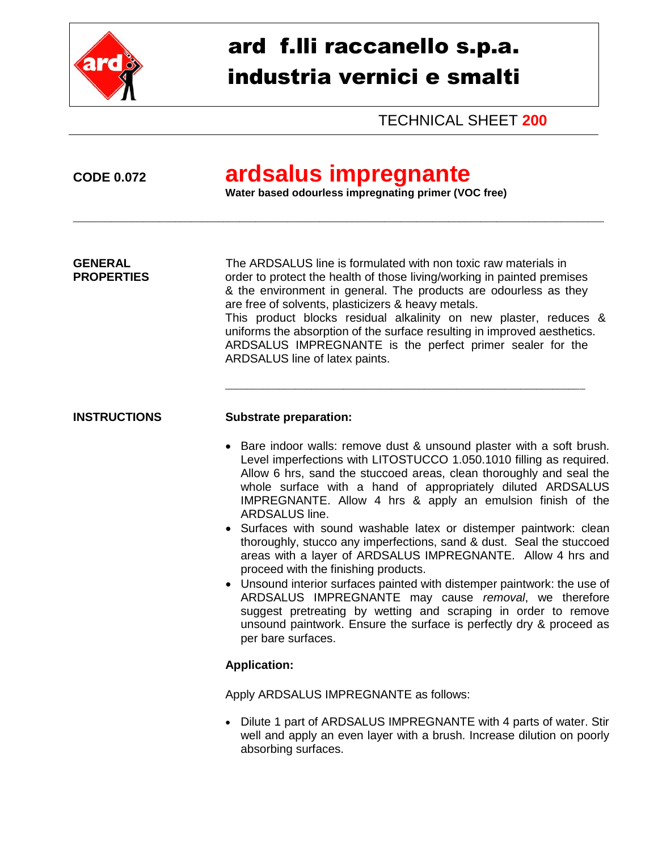

# ard f.lli raccanello s.p.a. industria vernici e smalti

TECHNICAL SHEET **200**

## **CODE 0.072 ardsalus impregnante**

\_\_\_\_\_\_\_\_\_\_\_\_\_\_\_\_\_\_\_\_\_\_\_\_\_\_\_\_\_\_\_\_\_\_\_\_\_\_\_\_\_\_\_\_\_\_\_\_\_\_\_\_\_\_\_\_\_\_\_\_\_\_\_\_\_\_\_\_\_\_\_\_\_\_\_\_\_\_\_\_\_\_\_\_\_\_\_\_\_\_\_\_\_\_\_\_\_\_\_

**Water based odourless impregnating primer (VOC free)**

**GENERAL** The ARDSALUS line is formulated with non toxic raw materials in **PROPERTIES** order to protect the health of those living/working in painted premises & the environment in general. The products are odourless as they are free of solvents, plasticizers & heavy metals. This product blocks residual alkalinity on new plaster, reduces & uniforms the absorption of the surface resulting in improved aesthetics. ARDSALUS IMPREGNANTE is the perfect primer sealer for the ARDSALUS line of latex paints.

\_\_\_\_\_\_\_\_\_\_\_\_\_\_\_\_\_\_\_\_\_\_\_\_\_\_\_\_\_\_\_\_\_\_\_\_\_\_\_\_\_\_\_\_\_\_\_\_\_\_\_\_\_\_\_\_\_\_\_\_\_\_\_\_\_\_\_

## **INSTRUCTIONS Substrate preparation:**

- Bare indoor walls: remove dust & unsound plaster with a soft brush. Level imperfections with LITOSTUCCO 1.050.1010 filling as required. Allow 6 hrs, sand the stuccoed areas, clean thoroughly and seal the whole surface with a hand of appropriately diluted ARDSALUS IMPREGNANTE. Allow 4 hrs & apply an emulsion finish of the ARDSALUS line.
- Surfaces with sound washable latex or distemper paintwork: clean thoroughly, stucco any imperfections, sand & dust. Seal the stuccoed areas with a layer of ARDSALUS IMPREGNANTE. Allow 4 hrs and proceed with the finishing products.
- Unsound interior surfaces painted with distemper paintwork: the use of ARDSALUS IMPREGNANTE may cause *removal*, we therefore suggest pretreating by wetting and scraping in order to remove unsound paintwork. Ensure the surface is perfectly dry & proceed as per bare surfaces.

## **Application:**

Apply ARDSALUS IMPREGNANTE as follows:

 Dilute 1 part of ARDSALUS IMPREGNANTE with 4 parts of water. Stir well and apply an even layer with a brush. Increase dilution on poorly absorbing surfaces.